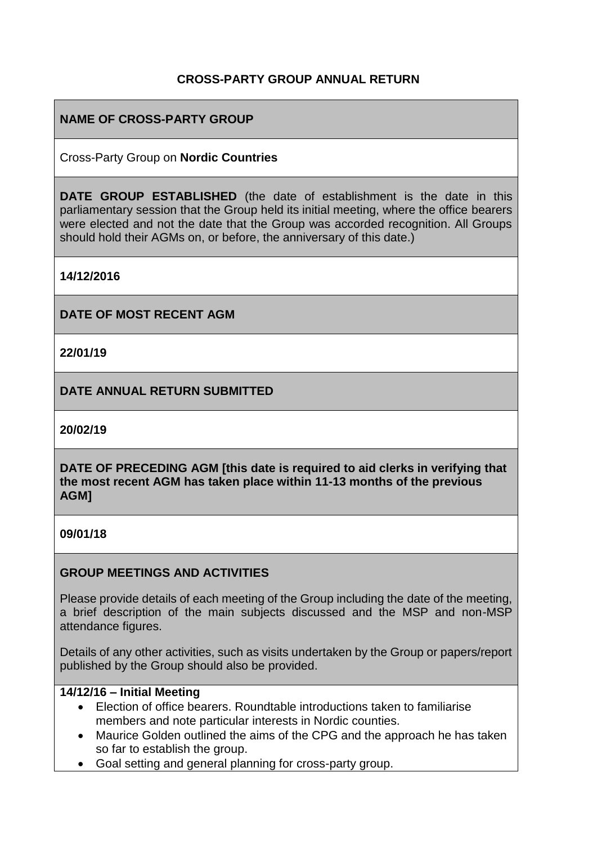## **CROSS-PARTY GROUP ANNUAL RETURN**

## **NAME OF CROSS-PARTY GROUP**

Cross-Party Group on **Nordic Countries**

**DATE GROUP ESTABLISHED** (the date of establishment is the date in this parliamentary session that the Group held its initial meeting, where the office bearers were elected and not the date that the Group was accorded recognition. All Groups should hold their AGMs on, or before, the anniversary of this date.)

**14/12/2016**

**DATE OF MOST RECENT AGM**

**22/01/19**

**DATE ANNUAL RETURN SUBMITTED**

**20/02/19**

**DATE OF PRECEDING AGM [this date is required to aid clerks in verifying that the most recent AGM has taken place within 11-13 months of the previous AGM]**

**09/01/18**

#### **GROUP MEETINGS AND ACTIVITIES**

Please provide details of each meeting of the Group including the date of the meeting, a brief description of the main subjects discussed and the MSP and non-MSP attendance figures.

Details of any other activities, such as visits undertaken by the Group or papers/report published by the Group should also be provided.

#### **14/12/16 – Initial Meeting**

- Election of office bearers. Roundtable introductions taken to familiarise members and note particular interests in Nordic counties.
- Maurice Golden outlined the aims of the CPG and the approach he has taken so far to establish the group.
- Goal setting and general planning for cross-party group.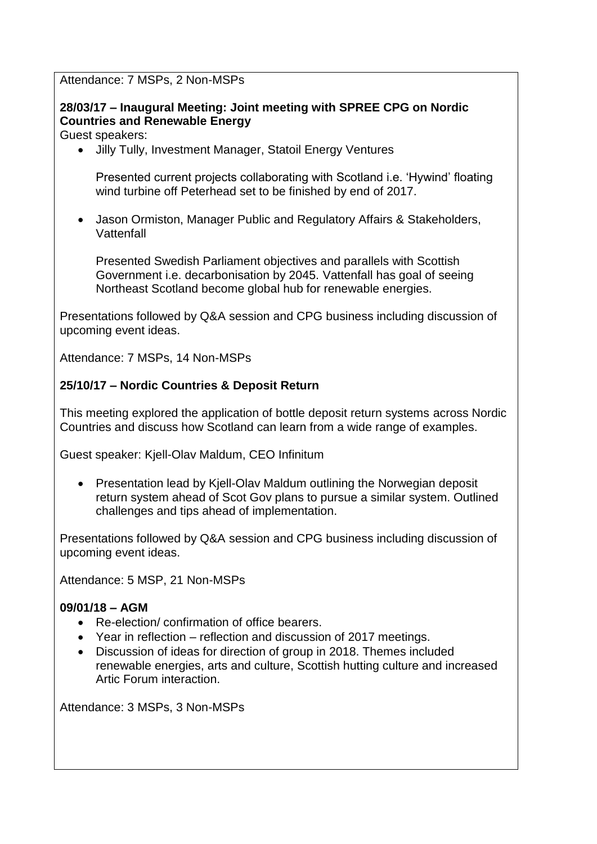Attendance: 7 MSPs, 2 Non-MSPs

# **28/03/17 – Inaugural Meeting: Joint meeting with SPREE CPG on Nordic Countries and Renewable Energy**

Guest speakers:

Jilly Tully, Investment Manager, Statoil Energy Ventures

Presented current projects collaborating with Scotland i.e. 'Hywind' floating wind turbine off Peterhead set to be finished by end of 2017.

 Jason Ormiston, Manager Public and Regulatory Affairs & Stakeholders, Vattenfall

Presented Swedish Parliament objectives and parallels with Scottish Government i.e. decarbonisation by 2045. Vattenfall has goal of seeing Northeast Scotland become global hub for renewable energies.

Presentations followed by Q&A session and CPG business including discussion of upcoming event ideas.

Attendance: 7 MSPs, 14 Non-MSPs

## **25/10/17 – Nordic Countries & Deposit Return**

This meeting explored the application of bottle deposit return systems across Nordic Countries and discuss how Scotland can learn from a wide range of examples.

Guest speaker: Kjell-Olav Maldum, CEO Infinitum

• Presentation lead by Kjell-Olav Maldum outlining the Norwegian deposit return system ahead of Scot Gov plans to pursue a similar system. Outlined challenges and tips ahead of implementation.

Presentations followed by Q&A session and CPG business including discussion of upcoming event ideas.

Attendance: 5 MSP, 21 Non-MSPs

### **09/01/18 – AGM**

- Re-election/ confirmation of office bearers.
- Year in reflection reflection and discussion of 2017 meetings.
- Discussion of ideas for direction of group in 2018. Themes included renewable energies, arts and culture, Scottish hutting culture and increased Artic Forum interaction.

Attendance: 3 MSPs, 3 Non-MSPs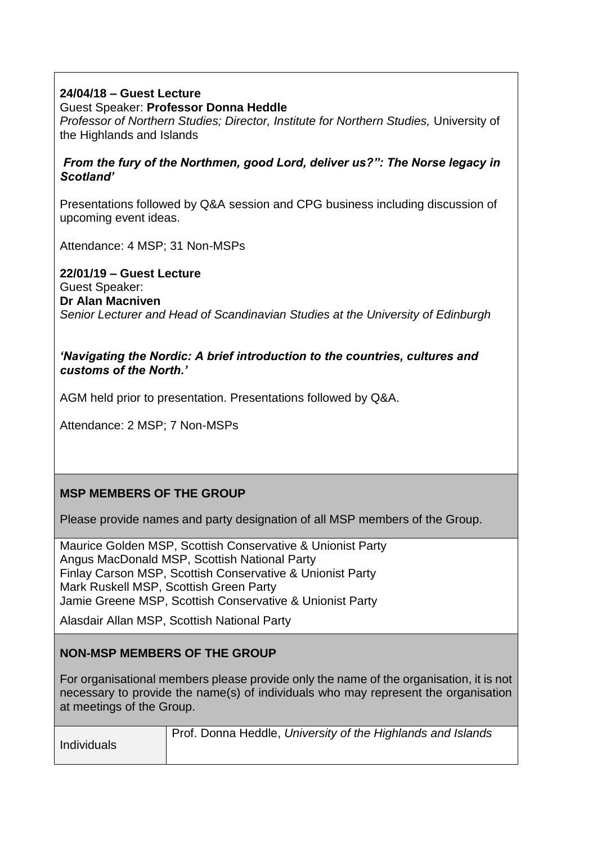## **24/04/18 – Guest Lecture**

Guest Speaker: **Professor Donna Heddle** 

*Professor of Northern Studies; Director, Institute for Northern Studies,* University of the Highlands and Islands

#### *From the fury of the Northmen, good Lord, deliver us?": The Norse legacy in Scotland'*

Presentations followed by Q&A session and CPG business including discussion of upcoming event ideas.

Attendance: 4 MSP; 31 Non-MSPs

**22/01/19 – Guest Lecture** Guest Speaker: **Dr Alan Macniven**  *Senior Lecturer and Head of Scandinavian Studies at the University of Edinburgh*

#### *'Navigating the Nordic: A brief introduction to the countries, cultures and customs of the North.'*

AGM held prior to presentation. Presentations followed by Q&A.

Attendance: 2 MSP; 7 Non-MSPs

# **MSP MEMBERS OF THE GROUP**

Please provide names and party designation of all MSP members of the Group.

Maurice Golden MSP, Scottish Conservative & Unionist Party Angus MacDonald MSP, Scottish National Party Finlay Carson MSP, Scottish Conservative & Unionist Party Mark Ruskell MSP, Scottish Green Party Jamie Greene MSP, Scottish Conservative & Unionist Party

Alasdair Allan MSP, Scottish National Party

### **NON-MSP MEMBERS OF THE GROUP**

For organisational members please provide only the name of the organisation, it is not necessary to provide the name(s) of individuals who may represent the organisation at meetings of the Group.

| Individuals | Prof. Donna Heddle, University of the Highlands and Islands |
|-------------|-------------------------------------------------------------|
|             |                                                             |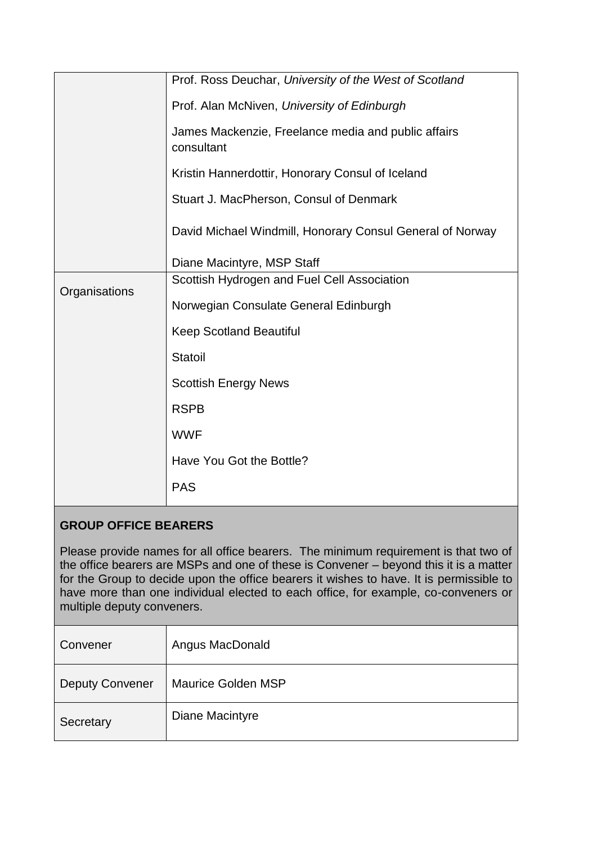|               | Prof. Ross Deuchar, University of the West of Scotland            |
|---------------|-------------------------------------------------------------------|
|               | Prof. Alan McNiven, University of Edinburgh                       |
|               | James Mackenzie, Freelance media and public affairs<br>consultant |
|               | Kristin Hannerdottir, Honorary Consul of Iceland                  |
|               | Stuart J. MacPherson, Consul of Denmark                           |
|               | David Michael Windmill, Honorary Consul General of Norway         |
|               | Diane Macintyre, MSP Staff                                        |
| Organisations | Scottish Hydrogen and Fuel Cell Association                       |
|               | Norwegian Consulate General Edinburgh                             |
|               | <b>Keep Scotland Beautiful</b>                                    |
|               | <b>Statoil</b>                                                    |
|               | <b>Scottish Energy News</b>                                       |
|               | <b>RSPB</b>                                                       |
|               | <b>WWF</b>                                                        |
|               | Have You Got the Bottle?                                          |
|               | <b>PAS</b>                                                        |

# **GROUP OFFICE BEARERS**

Please provide names for all office bearers. The minimum requirement is that two of the office bearers are MSPs and one of these is Convener – beyond this it is a matter for the Group to decide upon the office bearers it wishes to have. It is permissible to have more than one individual elected to each office, for example, co-conveners or multiple deputy conveners.

| Convener               | Angus MacDonald           |
|------------------------|---------------------------|
| <b>Deputy Convener</b> | <b>Maurice Golden MSP</b> |
| Secretary              | Diane Macintyre           |